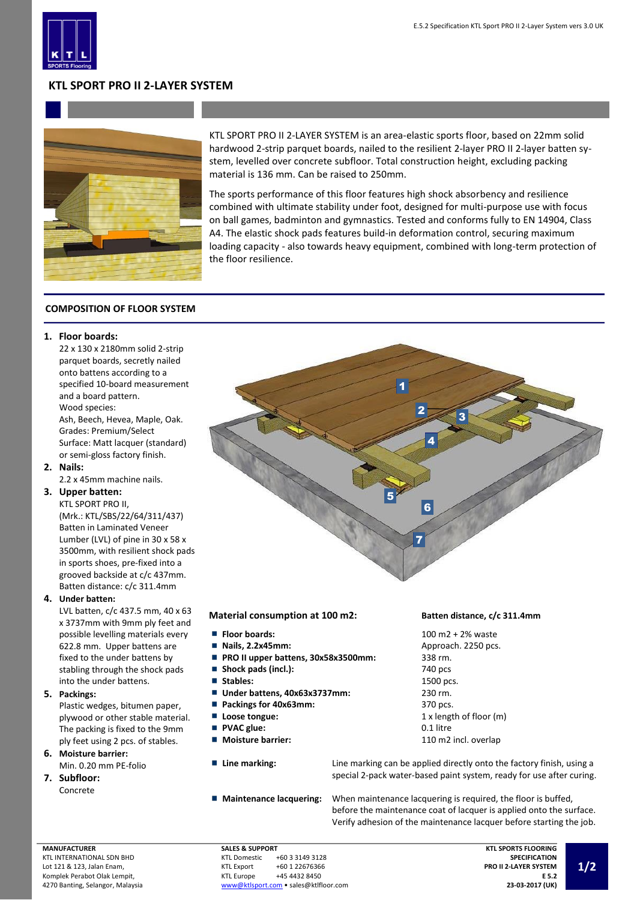

# **KTL SPORT PRO II 2-LAYER SYSTEM**



KTL SPORT PRO II 2-LAYER SYSTEM is an area-elastic sports floor, based on 22mm solid hardwood 2-strip parquet boards, nailed to the resilient 2-layer PRO II 2-layer batten system, levelled over concrete subfloor. Total construction height, excluding packing material is 136 mm. Can be raised to 250mm.

The sports performance of this floor features high shock absorbency and resilience combined with ultimate stability under foot, designed for multi-purpose use with focus on ball games, badminton and gymnastics. Tested and conforms fully to EN 14904, Class A4. The elastic shock pads features build-in deformation control, securing maximum loading capacity - also towards heavy equipment, combined with long-term protection of the floor resilience.

# **COMPOSITION OF FLOOR SYSTEM**

# **1. Floor boards:**

22 x 130 x 2180mm solid 2-strip parquet boards, secretly nailed onto battens according to a specified 10-board measurement and a board pattern. Wood species: Ash, Beech, Hevea, Maple, Oak. Grades: Premium/Select Surface: Matt lacquer (standard) or semi-gloss factory finish.

**2. Nails:**

2.2 x 45mm machine nails.

# **3. Upper batten:**

KTL SPORT PRO II, (Mrk.: KTL/SBS/22/64/311/437) Batten in Laminated Veneer Lumber (LVL) of pine in 30 x 58 x 3500mm, with resilient shock pads in sports shoes, pre-fixed into a grooved backside at c/c 437mm. Batten distance: c/c 311.4mm

## **4. Under batten:**

LVL batten, c/c 437.5 mm, 40 x 63 x 3737mm with 9mm ply feet and possible levelling materials every 622.8 mm. Upper battens are fixed to the under battens by stabling through the shock pads into the under battens.

## **5. Packings:**

Plastic wedges, bitumen paper, plywood or other stable material. The packing is fixed to the 9mm ply feet using 2 pcs. of stables.

- **6. Moisture barrier:** Min. 0.20 mm PE-folio
- **7. Subfloor:** Concrete



## **Material consumption at 100 m2: Batten distance, c/c 311.4mm**

- **Floor boards:** 100 m2 + 2% waste
- 
- **PRO II upper battens, 30x58x3500mm:** 338 rm. m.
- Shock pads (incl.): 740 pcs
- 
- Under battens, 40x63x3737mm: 230 rm.
- **Packings for 40x63mm:** 370 pcs.
- 
- **PVAC glue:** 0.1 litre
- 
- 
- 

**Nails, 2.2x45mm:** Approach. 2250 pcs. ■ Stables: 1500 pcs. **Loose tongue:** 1 x length of floor (m) ■ Moisture barrier: 110 m2 incl. overlap

■ **Line marking:** Line marking can be applied directly onto the factory finish, using a special 2-pack water-based paint system, ready for use after curing.

**Maintenance lacquering:** When maintenance lacquering is required, the floor is buffed, before the maintenance coat of lacquer is applied onto the surface. Verify adhesion of the maintenance lacquer before starting the job.

**MANUFACTURER** KTL INTERNATIONAL SDN BHD Lot 121 & 123, Jalan Enam, Komplek Perabot Olak Lempit, 4270 Banting, Selangor, Malaysia

### **SALES & SUPPORT**<br>KTL Domestic +60 3 3149 3128 KTL Export +60 1 22676366<br>KTL Europe +45 4432 8450 +45 4432 8450 [www@ktlsport.com](mailto:www@ktlsport.com) • sales@ktlfloor.com